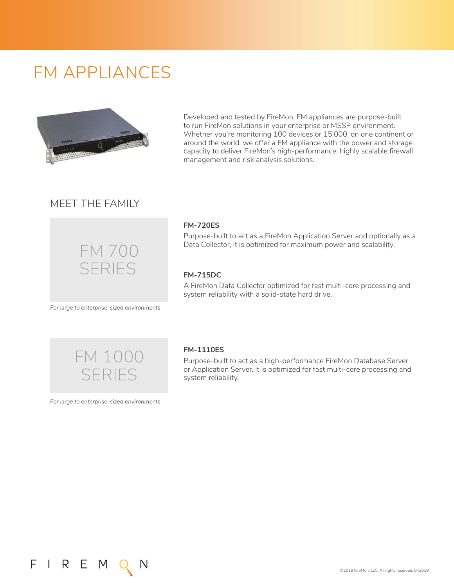# FM APPLIANCES



Developed and tested by FireMon, FM appliances are purpose-built to run FireMon solutions in your enterprise or MSSP environment. Whether you're monitoring 100 devices or 15,000, on one continent or around the world, we offer a FM appliance with the power and storage capacity to deliver FireMon's high-performance, highly scalable firewall management and risk analysis solutions.

# MEET THE FAMILY



#### **FM-720ES**

Purpose-built to act as a FireMon Application Server and optionally as a Data Collector, it is optimized for maximum power and scalability.

### **FM-715DC**

A FireMon Data Collector optimized for fast multi-core processing and system reliability with a solid-state hard drive.

*For large to enterprise-sized environments*



*For large to enterprise-sized environments*

FIREM

#### **FM-1110ES**

Purpose-built to act as a high-performance FireMon Database Server or Application Server, it is optimized for fast multi-core processing and system reliability.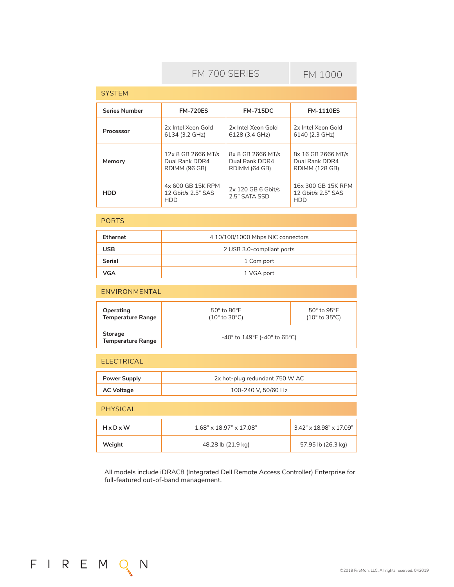# FM 700 SERIES

FM 1000

| <b>SYSTEM</b>        |                                                       |                                                      |                                                               |
|----------------------|-------------------------------------------------------|------------------------------------------------------|---------------------------------------------------------------|
| <b>Series Number</b> | <b>FM-720ES</b>                                       | <b>FM-715DC</b>                                      | <b>FM-1110ES</b>                                              |
| Processor            | 2x Intel Xeon Gold<br>6134 (3.2 GHz)                  | 2x Intel Xeon Gold<br>6128 (3.4 GHz)                 | 2x Intel Xeon Gold<br>6140 (2.3 GHz)                          |
| Memory               | 12x 8 GB 2666 MT/s<br>Dual Rank DDR4<br>RDIMM (96 GB) | 8x 8 GB 2666 MT/s<br>Dual Rank DDR4<br>RDIMM (64 GB) | 8x 16 GB 2666 MT/s<br>Dual Rank DDR4<br><b>RDIMM (128 GB)</b> |
| HDD                  | 4x 600 GB 15K RPM<br>12 Gbit/s 2.5" SAS<br>HDD        | 2x 120 GB 6 Gbit/s<br>2.5" SATA SSD                  | 16x 300 GB 15K RPM<br>12 Gbit/s 2.5" SAS<br>HDD               |

#### PORTS

| <b>Ethernet</b> | 4 10/100/1000 Mbps NIC connectors |
|-----------------|-----------------------------------|
| <b>USB</b>      | 2 USB 3.0-compliant ports         |
| Serial          | 1 Com port                        |
| VGA             | 1 VGA port                        |

#### ENVIRONMENTAL

| Operating<br><b>Temperature Range</b>      | $50^{\circ}$ to $86^{\circ}$ F<br>$(10^{\circ}$ to 30 $^{\circ}$ C)    | $50^\circ$ to $95^\circ$ F<br>$(10^{\circ}$ to 35 $^{\circ}$ C) |
|--------------------------------------------|------------------------------------------------------------------------|-----------------------------------------------------------------|
| <b>Storage</b><br><b>Temperature Range</b> | -40 $^{\circ}$ to 149 $^{\circ}$ F (-40 $^{\circ}$ to 65 $^{\circ}$ C) |                                                                 |

# ELECTRICAL

FIREMON

| Power Supply | 2x hot-plug redundant 750 W AC |
|--------------|--------------------------------|
| AC Voltage   | 100-240 V. 50/60 Hz            |

| PHYSICAL              |                                  |                            |
|-----------------------|----------------------------------|----------------------------|
| $H \times D \times W$ | $1.68$ " x $18.97$ " x $17.08$ " | $3.42$ " x 18.98" x 17.09" |
| Weight                | 48.28 lb (21.9 kg)               | 57.95 lb (26.3 kg)         |

All models include iDRAC8 (Integrated Dell Remote Access Controller) Enterprise for full-featured out-of-band management.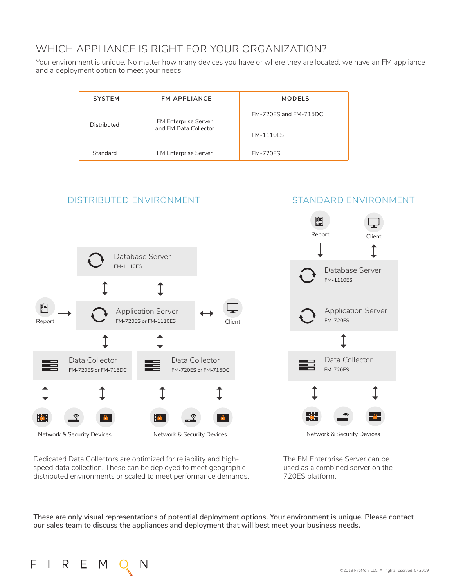# WHICH APPLIANCE IS RIGHT FOR YOUR ORGANIZATION?

Your environment is unique. No matter how many devices you have or where they are located, we have an FM appliance and a deployment option to meet your needs.

| <b>SYSTEM</b> | <b>FM APPLIANCE</b>   | <b>MODELS</b>         |  |
|---------------|-----------------------|-----------------------|--|
| Distributed   | FM Enterprise Server  | FM-720ES and FM-715DC |  |
|               | and FM Data Collector | <b>FM-1110ES</b>      |  |
| Standard      | FM Enterprise Server  | <b>FM-720ES</b>       |  |

# DISTRIBUTED ENVIRONMENT STANDARD ENVIRONMENT



#### Dedicated Data Collectors are optimized for reliability and highspeed data collection. These can be deployed to meet geographic distributed environments or scaled to meet performance demands.



The FM Enterprise Server can be used as a combined server on the 720ES platform.

**These are only visual representations of potential deployment options. Your environment is unique. Please contact our sales team to discuss the appliances and deployment that will best meet your business needs.**